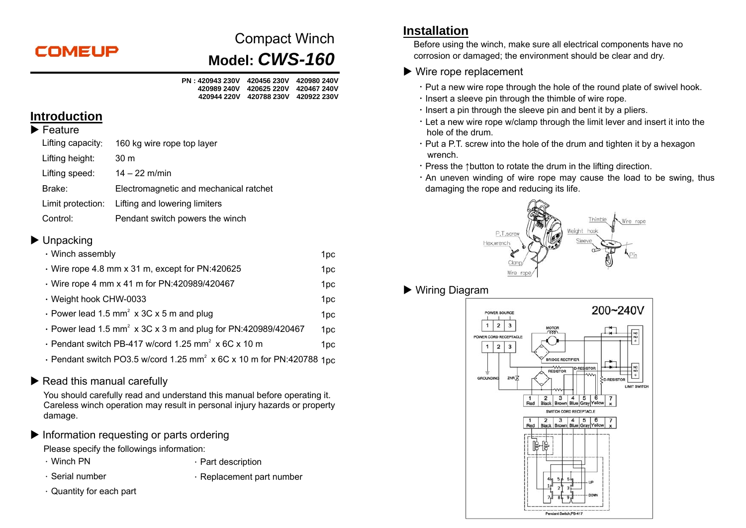# **COMEUP**

# Compact Winch **Model:** *CWS-160*

| PN : 420943 230V | 420456 230V               | 420980 240V |
|------------------|---------------------------|-------------|
| 420989 240V      | 420625 220V   420467 240V |             |
| 420944 220V      | 420788 230V 420922 230V   |             |

#### **Introduction**

#### $\blacktriangleright$  Feature

| Lifting capacity: | 160 kg wire rope top layer                      |
|-------------------|-------------------------------------------------|
| Lifting height:   | 30 <sub>m</sub>                                 |
| Lifting speed:    | $14 - 22$ m/min                                 |
| Brake:            | Electromagnetic and mechanical ratchet          |
|                   | Limit protection: Lifting and lowering limiters |
|                   |                                                 |

Control: Pendant switch powers the winch

## ▶ Unpacking

| · Winch assembly                                                                 | 1pc             |
|----------------------------------------------------------------------------------|-----------------|
| Wire rope 4.8 mm x 31 m, except for PN:420625                                    | 1pc             |
| · Wire rope 4 mm x 41 m for PN:420989/420467                                     | 1pc             |
| · Weight hook CHW-0033                                                           | 1pc             |
| • Power lead 1.5 mm <sup>2</sup> x 3C x 5 m and plug                             | 1pc             |
| • Power lead 1.5 mm <sup>2</sup> x 3C x 3 m and plug for PN:420989/420467        | 1 <sub>pc</sub> |
| · Pendant switch PB-417 w/cord 1.25 mm <sup>2</sup> x 6C x 10 m                  | 1pc             |
| • Pendant switch PO3.5 w/cord 1.25 mm <sup>2</sup> x 6C x 10 m for PN:420788 1pc |                 |

# $\blacktriangleright$  Read this manual carefully

You should carefully read and understand this manual before operating it. Careless winch operation may result in personal injury hazards or property damage.

Information requesting or parts ordering

Please specify the followings information:

- 
- . Winch PN . Part description
- 
- 
- . Serial number **...** Replacement part number
- $\cdot$  Quantity for each part

# **Installation**

Before using the winch, make sure all electrical components have no corrosion or damaged; the environment should be clear and dry.

## ▶ Wire rope replacement

- $\cdot$  Put a new wire rope through the hole of the round plate of swivel hook.
- . Insert a sleeve pin through the thimble of wire rope.
- $\cdot$  lnsert a pin through the sleeve pin and bent it by a pliers.
- .Let a new wire rope w/clamp through the limit lever and insert it into the hole of the drum.
- $\cdot$  Put a P.T. screw into the hole of the drum and tighten it by a hexagon wrench.
- .Press the ↑button to rotate the drum in the lifting direction.
- $\cdot$  An uneven winding of wire rope may cause the load to be swing, thus damaging the rope and reducing its life.



# Wiring Diagram